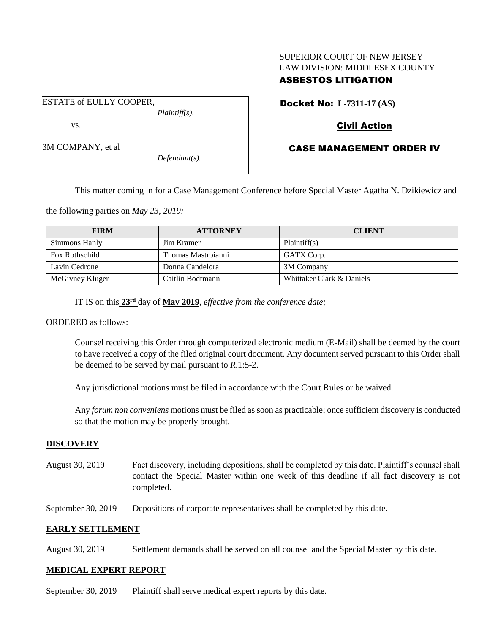# SUPERIOR COURT OF NEW JERSEY LAW DIVISION: MIDDLESEX COUNTY

# ASBESTOS LITIGATION

ESTATE of EULLY COOPER, *Plaintiff(s),*

vs.

3M COMPANY, et al

*Defendant(s).*

# Docket No: **L-7311-17 (AS)**

## Civil Action

# CASE MANAGEMENT ORDER IV

This matter coming in for a Case Management Conference before Special Master Agatha N. Dzikiewicz and

the following parties on *May 23, 2019:*

| <b>FIRM</b>     | <b>ATTORNEY</b>    | <b>CLIENT</b>             |
|-----------------|--------------------|---------------------------|
| Simmons Hanly   | <b>Jim Kramer</b>  | Plaintiff(s)              |
| Fox Rothschild  | Thomas Mastroianni | GATX Corp.                |
| Lavin Cedrone   | Donna Candelora    | 3M Company                |
| McGivney Kluger | Caitlin Bodtmann   | Whittaker Clark & Daniels |

IT IS on this **23rd** day of **May 2019**, *effective from the conference date;*

ORDERED as follows:

Counsel receiving this Order through computerized electronic medium (E-Mail) shall be deemed by the court to have received a copy of the filed original court document. Any document served pursuant to this Order shall be deemed to be served by mail pursuant to *R*.1:5-2.

Any jurisdictional motions must be filed in accordance with the Court Rules or be waived.

Any *forum non conveniens* motions must be filed as soon as practicable; once sufficient discovery is conducted so that the motion may be properly brought.

## **DISCOVERY**

August 30, 2019 Fact discovery, including depositions, shall be completed by this date. Plaintiff's counsel shall contact the Special Master within one week of this deadline if all fact discovery is not completed.

September 30, 2019 Depositions of corporate representatives shall be completed by this date.

## **EARLY SETTLEMENT**

August 30, 2019 Settlement demands shall be served on all counsel and the Special Master by this date.

## **MEDICAL EXPERT REPORT**

September 30, 2019 Plaintiff shall serve medical expert reports by this date.